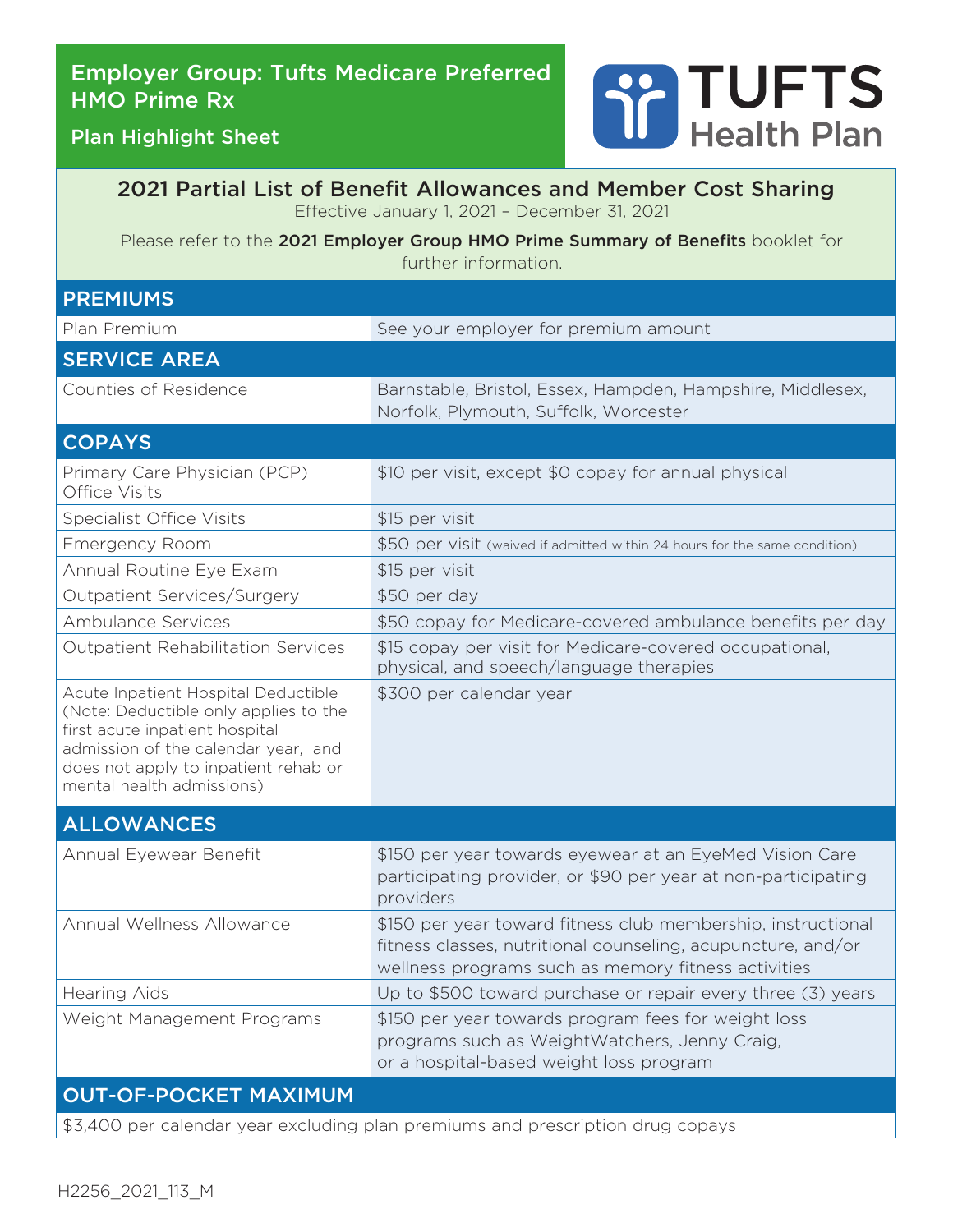# Employer Group: Tufts Medicare Preferred HMO Prime Rx



Plan Highlight Sheet

### 2021 Partial List of Benefit Allowances and Member Cost Sharing Effective January 1, 2021 – December 31, 2021

Please refer to the 2021 Employer Group HMO Prime Summary of Benefits booklet for further information.

| <b>PREMIUMS</b>                                                                                                                                                                                                            |                                                                                                                                                                                     |  |  |
|----------------------------------------------------------------------------------------------------------------------------------------------------------------------------------------------------------------------------|-------------------------------------------------------------------------------------------------------------------------------------------------------------------------------------|--|--|
| Plan Premium                                                                                                                                                                                                               | See your employer for premium amount                                                                                                                                                |  |  |
| <b>SERVICE AREA</b>                                                                                                                                                                                                        |                                                                                                                                                                                     |  |  |
| Counties of Residence                                                                                                                                                                                                      | Barnstable, Bristol, Essex, Hampden, Hampshire, Middlesex,<br>Norfolk, Plymouth, Suffolk, Worcester                                                                                 |  |  |
| <b>COPAYS</b>                                                                                                                                                                                                              |                                                                                                                                                                                     |  |  |
| Primary Care Physician (PCP)<br>Office Visits                                                                                                                                                                              | \$10 per visit, except \$0 copay for annual physical                                                                                                                                |  |  |
| <b>Specialist Office Visits</b>                                                                                                                                                                                            | \$15 per visit                                                                                                                                                                      |  |  |
| <b>Emergency Room</b>                                                                                                                                                                                                      | \$50 per visit (waived if admitted within 24 hours for the same condition)                                                                                                          |  |  |
| Annual Routine Eye Exam                                                                                                                                                                                                    | \$15 per visit                                                                                                                                                                      |  |  |
| Outpatient Services/Surgery                                                                                                                                                                                                | \$50 per day                                                                                                                                                                        |  |  |
| <b>Ambulance Services</b>                                                                                                                                                                                                  | \$50 copay for Medicare-covered ambulance benefits per day                                                                                                                          |  |  |
| <b>Outpatient Rehabilitation Services</b>                                                                                                                                                                                  | \$15 copay per visit for Medicare-covered occupational,<br>physical, and speech/language therapies                                                                                  |  |  |
| Acute Inpatient Hospital Deductible<br>(Note: Deductible only applies to the<br>first acute inpatient hospital<br>admission of the calendar year, and<br>does not apply to inpatient rehab or<br>mental health admissions) | \$300 per calendar year                                                                                                                                                             |  |  |
| <b>ALLOWANCES</b>                                                                                                                                                                                                          |                                                                                                                                                                                     |  |  |
| Annual Eyewear Benefit                                                                                                                                                                                                     | \$150 per year towards eyewear at an EyeMed Vision Care<br>participating provider, or \$90 per year at non-participating<br>providers                                               |  |  |
| Annual Wellness Allowance                                                                                                                                                                                                  | \$150 per year toward fitness club membership, instructional<br>fitness classes, nutritional counseling, acupuncture, and/or<br>wellness programs such as memory fitness activities |  |  |
| <b>Hearing Aids</b>                                                                                                                                                                                                        | Up to \$500 toward purchase or repair every three (3) years                                                                                                                         |  |  |
| Weight Management Programs                                                                                                                                                                                                 | \$150 per year towards program fees for weight loss<br>programs such as WeightWatchers, Jenny Craig,<br>or a hospital-based weight loss program                                     |  |  |
| <b>OUT-OF-POCKET MAXIMUM</b>                                                                                                                                                                                               |                                                                                                                                                                                     |  |  |
| \$3,400 per calendar year excluding plan premiums and prescription drug copays                                                                                                                                             |                                                                                                                                                                                     |  |  |